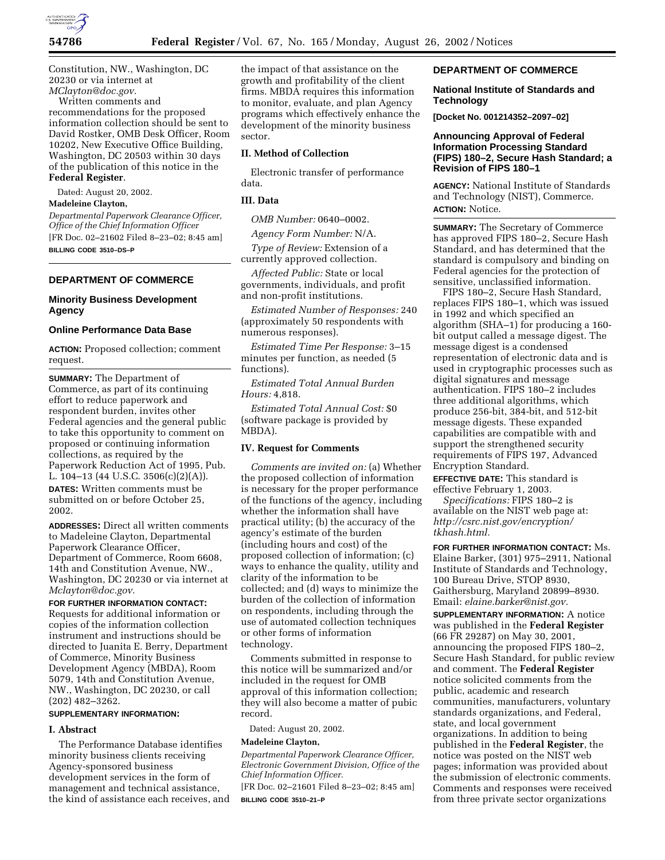

Constitution, NW., Washington, DC 20230 or via internet at *MClayton@doc.gov.*

Written comments and recommendations for the proposed information collection should be sent to David Rostker, OMB Desk Officer, Room 10202, New Executive Office Building, Washington, DC 20503 within 30 days of the publication of this notice in the **Federal Register**.

Dated: August 20, 2002.

### **Madeleine Clayton,**

*Departmental Paperwork Clearance Officer, Office of the Chief Information Officer* [FR Doc. 02–21602 Filed 8–23–02; 8:45 am] **BILLING CODE 3510–DS–P**

### **DEPARTMENT OF COMMERCE**

### **Minority Business Development Agency**

# **Online Performance Data Base**

**ACTION:** Proposed collection; comment request.

**SUMMARY:** The Department of Commerce, as part of its continuing effort to reduce paperwork and respondent burden, invites other Federal agencies and the general public to take this opportunity to comment on proposed or continuing information collections, as required by the Paperwork Reduction Act of 1995, Pub. L. 104–13 (44 U.S.C. 3506(c)(2)(A)). **DATES:** Written comments must be submitted on or before October 25, 2002.

**ADDRESSES:** Direct all written comments to Madeleine Clayton, Departmental Paperwork Clearance Officer, Department of Commerce, Room 6608, 14th and Constitution Avenue, NW., Washington, DC 20230 or via internet at *Mclayton@doc.gov.*

**FOR FURTHER INFORMATION CONTACT:** Requests for additional information or copies of the information collection instrument and instructions should be directed to Juanita E. Berry, Department of Commerce, Minority Business Development Agency (MBDA), Room 5079, 14th and Constitution Avenue, NW., Washington, DC 20230, or call (202) 482–3262.

# **SUPPLEMENTARY INFORMATION:**

### **I. Abstract**

The Performance Database identifies minority business clients receiving Agency-sponsored business development services in the form of management and technical assistance, the kind of assistance each receives, and

the impact of that assistance on the growth and profitability of the client firms. MBDA requires this information to monitor, evaluate, and plan Agency programs which effectively enhance the development of the minority business sector.

# **II. Method of Collection**

Electronic transfer of performance data.

### **III. Data**

*OMB Number:* 0640–0002.

*Agency Form Number:* N/A.

*Type of Review:* Extension of a currently approved collection.

*Affected Public:* State or local governments, individuals, and profit and non-profit institutions.

*Estimated Number of Responses:* 240 (approximately 50 respondents with numerous responses).

*Estimated Time Per Response:* 3–15 minutes per function, as needed (5 functions).

*Estimated Total Annual Burden Hours:* 4,818.

*Estimated Total Annual Cost:* \$0 (software package is provided by MBDA).

# **IV. Request for Comments**

*Comments are invited on:* (a) Whether the proposed collection of information is necessary for the proper performance of the functions of the agency, including whether the information shall have practical utility; (b) the accuracy of the agency's estimate of the burden (including hours and cost) of the proposed collection of information; (c) ways to enhance the quality, utility and clarity of the information to be collected; and (d) ways to minimize the burden of the collection of information on respondents, including through the use of automated collection techniques or other forms of information technology.

Comments submitted in response to this notice will be summarized and/or included in the request for OMB approval of this information collection; they will also become a matter of pubic record.

Dated: August 20, 2002.

### **Madeleine Clayton,**

*Departmental Paperwork Clearance Officer, Electronic Government Division, Office of the Chief Information Officer.*

[FR Doc. 02–21601 Filed 8–23–02; 8:45 am] **BILLING CODE 3510–21–P**

## **DEPARTMENT OF COMMERCE**

### **National Institute of Standards and Technology**

**[Docket No. 001214352–2097–02]** 

# **Announcing Approval of Federal Information Processing Standard (FIPS) 180–2, Secure Hash Standard; a Revision of FIPS 180–1**

**AGENCY:** National Institute of Standards and Technology (NIST), Commerce. **ACTION:** Notice.

**SUMMARY:** The Secretary of Commerce has approved FIPS 180–2, Secure Hash Standard, and has determined that the standard is compulsory and binding on Federal agencies for the protection of sensitive, unclassified information.

FIPS 180–2, Secure Hash Standard, replaces FIPS 180–1, which was issued in 1992 and which specified an algorithm (SHA–1) for producing a 160 bit output called a message digest. The message digest is a condensed representation of electronic data and is used in cryptographic processes such as digital signatures and message authentication. FIPS 180–2 includes three additional algorithms, which produce 256-bit, 384-bit, and 512-bit message digests. These expanded capabilities are compatible with and support the strengthened security requirements of FIPS 197, Advanced Encryption Standard.

**EFFECTIVE DATE:** This standard is effective February 1, 2003.

*Specifications:* FIPS 180–2 is available on the NIST web page at: *http://csrc.nist.gov/encryption/ tkhash.html.*

**FOR FURTHER INFORMATION CONTACT:** Ms. Elaine Barker, (301) 975–2911, National Institute of Standards and Technology, 100 Bureau Drive, STOP 8930, Gaithersburg, Maryland 20899–8930. Email: *elaine.barker@nist.gov.*

**SUPPLEMENTARY INFORMATION:** A notice was published in the **Federal Register** (66 FR 29287) on May 30, 2001, announcing the proposed FIPS 180–2, Secure Hash Standard, for public review and comment. The **Federal Register** notice solicited comments from the public, academic and research communities, manufacturers, voluntary standards organizations, and Federal, state, and local government organizations. In addition to being published in the **Federal Register**, the notice was posted on the NIST web pages; information was provided about the submission of electronic comments. Comments and responses were received from three private sector organizations